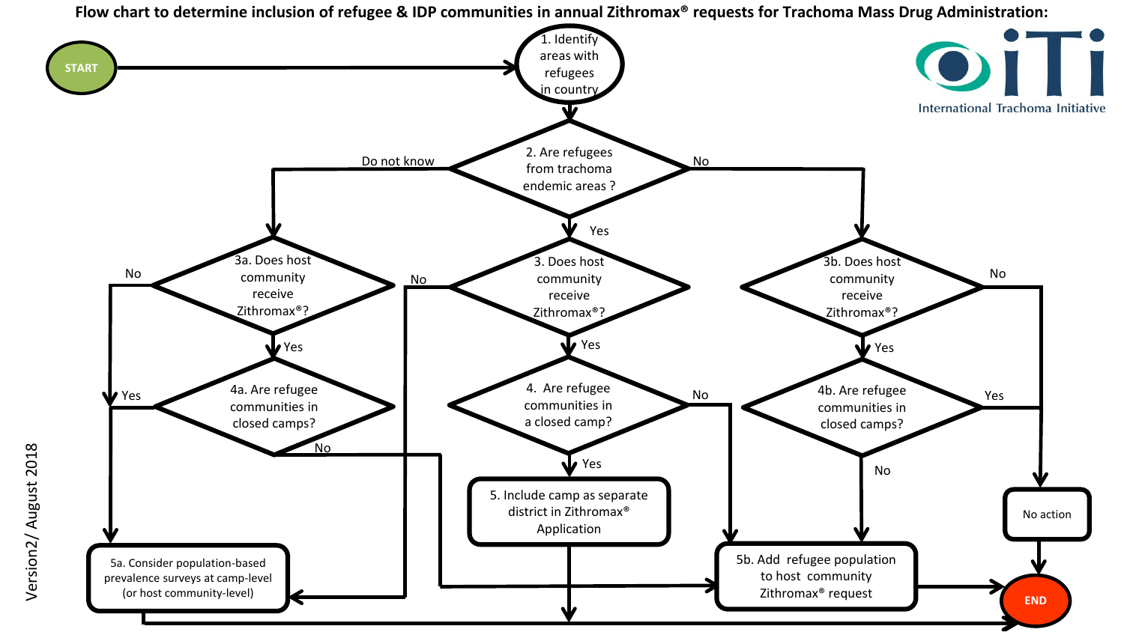**Flow chart to determine inclusion of refugee & IDP communities in annual Zithromax® requests for Trachoma Mass Drug Administration:**